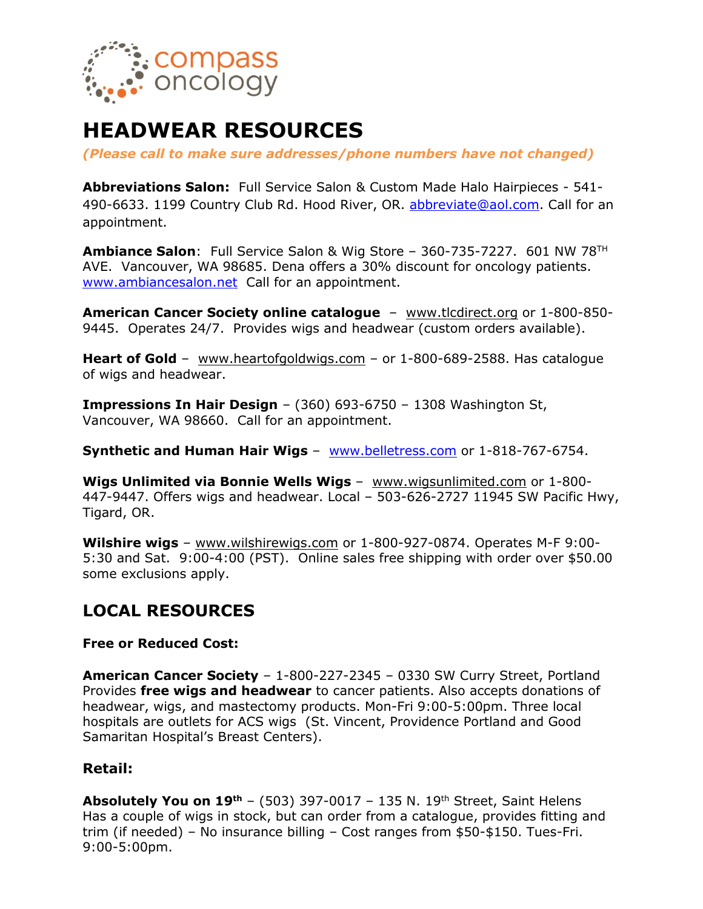

# **HEADWEAR RESOURCES**

*(Please call to make sure addresses/phone numbers have not changed)*

**Abbreviations Salon:** Full Service Salon & Custom Made Halo Hairpieces - 541- 490-6633. 1199 Country Club Rd. Hood River, OR. [abbreviate@aol.com.](mailto:abbreviate@aol.com) Call for an appointment.

**Ambiance Salon**: Full Service Salon & Wig Store – 360-735-7227. 601 NW 78TH AVE. Vancouver, WA 98685. Dena offers a 30% discount for oncology patients. [www.ambiancesalon.net](http://www.ambiancesalon.net/) Call for an appointment.

**American Cancer Society online catalogue** – [www.tlcdirect.org](http://www.tlcdirect.org/) or 1-800-850- 9445. Operates 24/7. Provides wigs and headwear (custom orders available).

**Heart of Gold** – [www.heartofgoldwigs.com](http://www.heartofgoldwigs.com/) – or 1-800-689-2588. Has catalogue of wigs and headwear.

**Impressions In Hair Design** – (360) 693-6750 – 1308 Washington St, Vancouver, WA 98660. Call for an appointment.

**Synthetic and Human Hair Wigs** – [www.belletress.com](http://www.belletress.com/) or 1-818-767-6754.

**Wigs Unlimited via Bonnie Wells Wigs** – [www.wigsunlimited.com](http://www.wigsunlimited.com/) or 1-800- 447-9447. Offers wigs and headwear. Local – 503-626-2727 11945 SW Pacific Hwy, Tigard, OR.

**Wilshire wigs** – [www.wilshirewigs.com](http://www.wilshirewigs.com/) or 1-800-927-0874. Operates M-F 9:00- 5:30 and Sat. 9:00-4:00 (PST). Online sales free shipping with order over \$50.00 some exclusions apply.

## **LOCAL RESOURCES**

#### **Free or Reduced Cost:**

**American Cancer Society** – 1-800-227-2345 – 0330 SW Curry Street, Portland Provides **free wigs and headwear** to cancer patients. Also accepts donations of headwear, wigs, and mastectomy products. Mon-Fri 9:00-5:00pm. Three local hospitals are outlets for ACS wigs (St. Vincent, Providence Portland and Good Samaritan Hospital's Breast Centers).

#### **Retail:**

**Absolutely You on 19th** – (503) 397-0017 – 135 N. 19th Street, Saint Helens Has a couple of wigs in stock, but can order from a catalogue, provides fitting and trim (if needed) – No insurance billing – Cost ranges from \$50-\$150. Tues-Fri. 9:00-5:00pm.